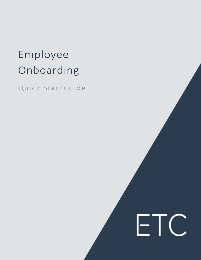## Employee Onboarding

Quick Sta rt Guide

# ETC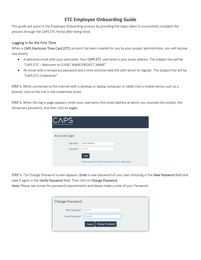#### **ETC Employee Onboarding Guide**

This guide will assist in the Employee Onboarding process by providing the steps taken to successfully complete the process through the CAPS ETC Portal after being hired.

#### Logging in for the First Time

When a CAPS Electronic Time Card (ETC) account has been created for you by your project administrator, you will receive two emails:

- A welcome email with your username. Your CAPS ETC username is your email address. The Subject line will be "CAPS ETC – Welcome to CLIENT NAME/PROJECT NAME"
- An email with a temporary password and a time sensitive web link with which to register. The Subject line will be "CAPS ETC Credentials"

STEP 1. While connected to the internet with a desktop or laptop computer or tablet (not a mobile device such as a phone), click on the link in the credentials email.

STEP 2. When the log in page appears, enter your username (the email address at which you received the emails), the temporary password, and then click on *Login*.

| A Cast & Crew Entertainment Company |                                                                    |
|-------------------------------------|--------------------------------------------------------------------|
| <b>Account Login</b>                |                                                                    |
| Username*<br>Password*              | email address<br>                                                  |
|                                     | Login<br>forgot password   forgot username   new user registration |

STEP 3. The Change Password screen appears. Enter a new password of your own choosing in the New Password field and type it again in the Verify Password field. Then click on Change Password.

Note: Please see screen for password requirements and please make a note of your Password.

| <b>Change Password</b>            |                                          |
|-----------------------------------|------------------------------------------|
| New Password*<br>Verify Password* | <br><br><b>Change Password</b><br>Cancel |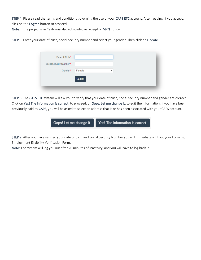STEP 4. Please read the terms and conditions governing the use of your CAPS ETC account. After reading, if you accept, click on the I Agree button to proceed.

Note: If the project is in California also acknowledge receipt of MPN notice.

STEP 5. Enter your date of birth, social security number and select your gender. Then click on Update.

| Date of Birth*          |        |              |
|-------------------------|--------|--------------|
| Social Security Number* |        |              |
| Gender*                 | Female | $\mathbf{v}$ |
|                         | Update |              |

STEP 6. The CAPS ETC system will ask you to verify that your date of birth, social security number and gender are correct. Click on Yes! The information is correct. to proceed, or Oops. Let me change it. to edit the information. If you have been previously paid by CAPS, you will be asked to select an address that is or has been associated with your CAPS account.



STEP 7. After you have verified your date of birth and Social Security Number you will immediately fill out your Form I-9, Employment Eligibility Verification Form.

Note: The system will log you out after 20 minutes of inactivity, and you will have to log back in.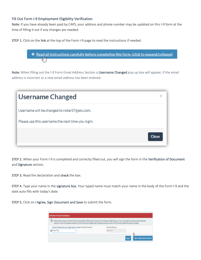#### Fill Out Form I-9 Employment Eligibility Verification

Note: If you have already been paid by CAPS, your address and phone number may be updated on this I-9 form at the time of filling it out if any changes are needed.

STEP 1. Click on the link at the top of the Form I-9 page to read the instructions if needed.



Note: When filling out the I-9 Form Email Address Section a Username Changed pop up box will appear, if the email address is incorrect or a new email address has been entered .

| Username Changed                                  |              |
|---------------------------------------------------|--------------|
| Username will be changed to robert7@etc.com.      |              |
| Please use this username the next time you login. | <b>Close</b> |
|                                                   |              |

STEP 2. When your Form I-9 is completed and correctly filled out, you will sign the form in the Verification of Document and Signature section.

STEP 3. Read the declaration and check the box.

STEP 4. Type your name in the signature box. Your typed name must match your name in the body of the Form I-9 and the date auto-fills with today's date.

STEP 5. Click on I Agree, Sign Document and Save to submit the form.

| 5 in Inder penalties of perjury, I declare that I have examined this certificate and, to the best of my knowledge and belief, it is true, correct, and complete. By clicking on this checkbox and<br>typing in my name in the signature box (below) I confirm that I agree to digitally sign this legal document and to allow CAPS to use the provided information accordingly. |                      |  |
|---------------------------------------------------------------------------------------------------------------------------------------------------------------------------------------------------------------------------------------------------------------------------------------------------------------------------------------------------------------------------------|----------------------|--|
| Signature (Please enter your full legal name as it appears in the section above): *                                                                                                                                                                                                                                                                                             | Date (mm/dd/yyyy): * |  |
| <b>Robert Test</b>                                                                                                                                                                                                                                                                                                                                                              | 08/02/2019           |  |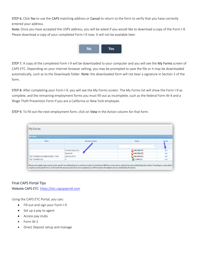STEP 6. Click Yes to use the CAPS matching address or Cancel to return to the form to verify that you have correctly entered your address.

Note: Once you have accepted the USPS address, you will be asked if you would like to download a copy of the Form I-9. Please download a copy of your completed Form I-9 now. It will not be available later.



STEP 7. A copy of the completed Form I-9 will be downloaded to your computer and you will see the My Forms screen of CAPS ETC. Depending on your internet browser setting, you may be prompted to save the file or it may be downloaded automatically, such as to the Downloads folder. Note: the downloaded form will not bear a signature in Section 2 of the form.

STEP 8. After completing your Form I-9, you will see the My Forms screen. The My Forms list will show the Form I-9 as complete, and the remaining employment forms you must fill out as incomplete, such as the federal Form W-4 and a Wage Theft Prevention Form if you are a California or New York employee.

STEP 9. To fill out the next employment form, click on View in the Action column for that form.



#### Final CAPS Portal Tips

Website CAPS ETC: https://etc.capspayroll.com

Using the CAPS ETC Portal, you can:

- Fill out and sign your Form I-9
- Set up a pay-to agent
- Access pay stubs
- Form W-2
- Direct Deposit setup and manage